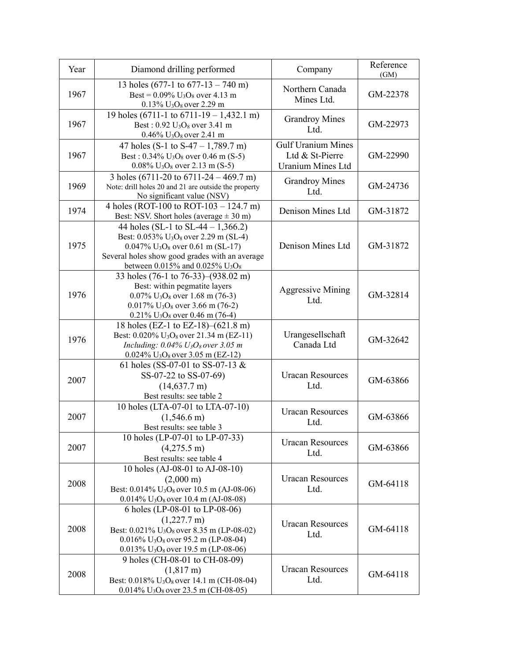| Year | Diamond drilling performed                                                                                                                                                                                                                                                            | Company                                                                  | Reference<br>(GM) |
|------|---------------------------------------------------------------------------------------------------------------------------------------------------------------------------------------------------------------------------------------------------------------------------------------|--------------------------------------------------------------------------|-------------------|
| 1967 | 13 holes (677-1 to $677-13 - 740$ m)<br>Best = $0.09\%$ U <sub>3</sub> O <sub>8</sub> over 4.13 m<br>$0.13\%$ U <sub>3</sub> O <sub>8</sub> over 2.29 m                                                                                                                               | Northern Canada<br>Mines Ltd.                                            | GM-22378          |
| 1967 | 19 holes (6711-1 to 6711-19 – 1,432.1 m)<br>Best: $0.92$ U <sub>3</sub> O <sub>8</sub> over 3.41 m<br>$0.46\%$ U <sub>3</sub> O <sub>8</sub> over 2.41 m                                                                                                                              | <b>Grandroy Mines</b><br>Ltd.                                            | GM-22973          |
| 1967 | 47 holes (S-1 to S-47 – 1,789.7 m)<br>Best: $0.34\%$ U <sub>3</sub> O <sub>8</sub> over 0.46 m (S-5)<br>$0.08\%$ U <sub>3</sub> O <sub>8</sub> over 2.13 m (S-5)                                                                                                                      | <b>Gulf Uranium Mines</b><br>Ltd & St-Pierre<br><b>Uranium Mines Ltd</b> | GM-22990          |
| 1969 | 3 holes (6711-20 to 6711-24 – 469.7 m)<br>Note: drill holes 20 and 21 are outside the property<br>No significant value (NSV)                                                                                                                                                          | <b>Grandroy Mines</b><br>Ltd.                                            | GM-24736          |
| 1974 | 4 holes (ROT-100 to ROT-103 – 124.7 m)<br>Best: NSV. Short holes (average $\pm$ 30 m)                                                                                                                                                                                                 | Denison Mines Ltd                                                        | GM-31872          |
| 1975 | 44 holes (SL-1 to SL-44 – 1,366.2)<br>Best: 0.053% U <sub>3</sub> O <sub>8</sub> over 2.29 m (SL-4)<br>$0.047\%$ U <sub>3</sub> O <sub>8</sub> over 0.61 m (SL-17)<br>Several holes show good grades with an average<br>between $0.015\%$ and $0.025\%$ U <sub>3</sub> O <sub>8</sub> | Denison Mines Ltd                                                        | GM-31872          |
| 1976 | 33 holes (76-1 to 76-33)–(938.02 m)<br>Best: within pegmatite layers<br>$0.07\%$ U <sub>3</sub> O <sub>8</sub> over 1.68 m (76-3)<br>$0.017\%$ U <sub>3</sub> O <sub>8</sub> over 3.66 m (76-2)<br>$0.21\%$ U <sub>3</sub> O <sub>8</sub> over 0.46 m (76-4)                          | <b>Aggressive Mining</b><br>Ltd.                                         | GM-32814          |
| 1976 | 18 holes (EZ-1 to EZ-18)–(621.8 m)<br>Best: $0.020\%$ U <sub>3</sub> O <sub>8</sub> over 21.34 m (EZ-11)<br>Including: $0.04\% U_3O_8$ over 3.05 m<br>$0.024\%$ U <sub>3</sub> O <sub>8</sub> over 3.05 m (EZ-12)                                                                     | Urangesellschaft<br>Canada Ltd                                           | GM-32642          |
| 2007 | 61 holes (SS-07-01 to SS-07-13 $&$<br>SS-07-22 to SS-07-69)<br>$(14,637.7 \text{ m})$<br>Best results: see table 2                                                                                                                                                                    | <b>Uracan Resources</b><br>Ltd.                                          | GM-63866          |
| 2007 | 10 holes (LTA-07-01 to LTA-07-10)<br>$(1,546.6 \text{ m})$<br>Best results: see table 3                                                                                                                                                                                               | <b>Uracan Resources</b><br>Ltd.                                          | GM-63866          |
| 2007 | 10 holes (LP-07-01 to LP-07-33)<br>$(4,275.5 \text{ m})$<br>Best results: see table 4                                                                                                                                                                                                 | <b>Uracan Resources</b><br>Ltd.                                          | GM-63866          |
| 2008 | 10 holes (AJ-08-01 to AJ-08-10)<br>$(2,000 \text{ m})$<br>Best: $0.014\%$ U <sub>3</sub> O <sub>8</sub> over 10.5 m (AJ-08-06)<br>$0.014\%$ U <sub>3</sub> O <sub>8</sub> over 10.4 m (AJ-08-08)                                                                                      | <b>Uracan Resources</b><br>Ltd.                                          | GM-64118          |
| 2008 | 6 holes (LP-08-01 to LP-08-06)<br>$(1,227.7 \text{ m})$<br>Best: $0.021\%$ U <sub>3</sub> O <sub>8</sub> over 8.35 m (LP-08-02)<br>0.016% $U_3O_8$ over 95.2 m (LP-08-04)<br>$0.013\%$ U <sub>3</sub> O <sub>8</sub> over 19.5 m (LP-08-06)                                           | <b>Uracan Resources</b><br>Ltd.                                          | GM-64118          |
| 2008 | 9 holes (CH-08-01 to CH-08-09)<br>$(1,817 \text{ m})$<br>Best: $0.018\%$ U <sub>3</sub> O <sub>8</sub> over 14.1 m (CH-08-04)<br>$0.014\%$ U <sub>3</sub> O <sub>8</sub> over 23.5 m (CH-08-05)                                                                                       | <b>Uracan Resources</b><br>Ltd.                                          | GM-64118          |